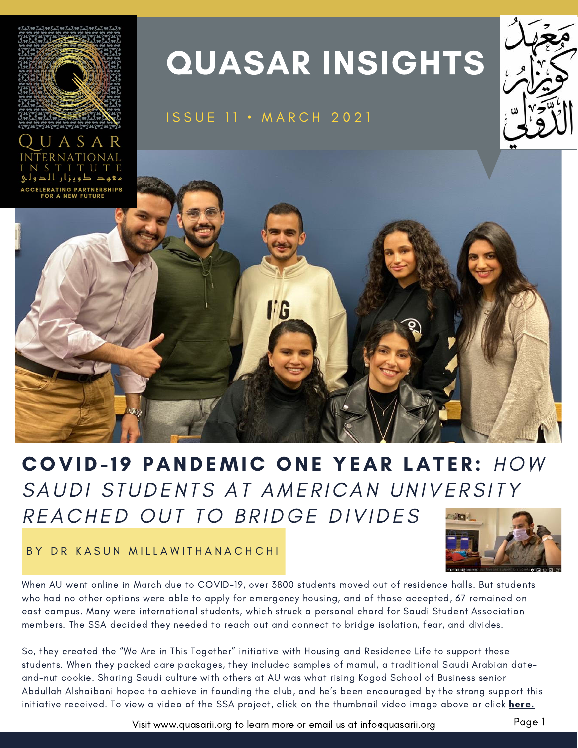

# ASAR

## QUASAR INSIGHTS

#### ISSUE 11 · MARCH 2021





## COVID-19 PANDEMIC ONE YEAR LATER: HOW SAUDI STUDENTS AT AMERICAN UNIVERSITY REACHED OUT TO BRIDGE DIVIDES

BY DR KASUN MILLAWITHANACHCHI



When AU went online in March due to COVID-19, over 3800 students moved out of residence halls. But students who had no other options were able to apply for emergency housing, and of those accepted, 67 remained on east campus. Many were international students, which struck a personal chord for Saudi Student Association members. The SSA decided they needed to reach out and connect to bridge isolation, fear, and divides.

So, they created the "We Are in This Together" initiative with Housing and Residence Life to support these students. When they packed care packages, they included samples of mamul, a traditional Saudi Arabian dateand-nut cookie. Sharing Saudi culture with others at AU was what rising Kogod School of Business senior Abdullah Alshaibani hoped to achieve in founding the club, and he's been encouraged by the strong support this initiative received. To view a video of the SSA project, click on the thumbnail video image above or click [here.](https://www.youtube.com/watch?v=4QBA9ZEd4mQ&t=1s)

Visit [www.quasarii.org](https://www.quasarii.org/) to learn more or email us at info@quasarii.org Page 1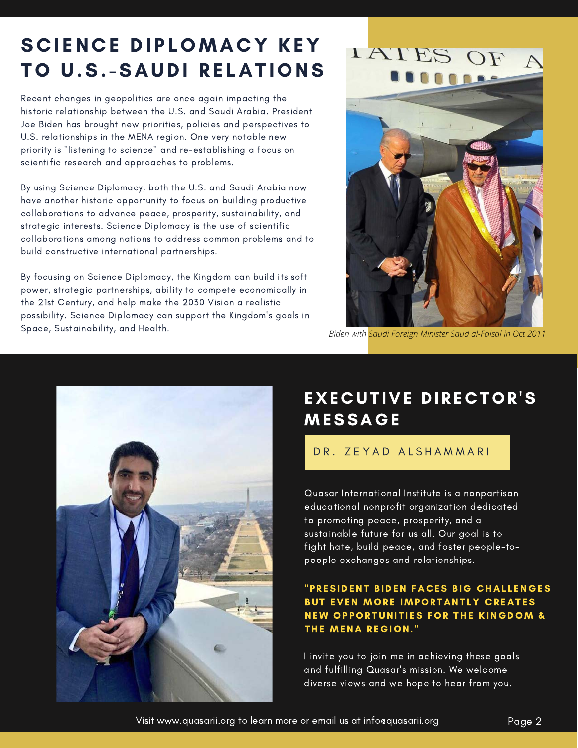## SCIENCE DIPLOMACY KEY TO U.S.-SAUDI RELATIONS

Recent changes in geopolitics are once again impacting the historic relationship between the U.S. and Saudi Arabia. President Joe Biden has brought new priorities, policies and perspectives to U.S. relationships in the MENA region. One very notable new priority is "listening to science" and re-establishing a focus on scientific research and approaches to problems.

By using Science Diplomacy, both the U.S. and Saudi Arabia now have another historic opportunity to focus on building productive collaborations to advance peace, prosperity, sustainability, and strategic interests. Science Diplomacy is the use of scientific collaborations among nations to address common problems and to build constructive international partnerships.

By focusing on Science Diplomacy, the Kingdom can build its soft power, strategic partnerships, ability to compete economically in the 21st Century, and help make the 2030 Vision a realistic possibility. Science Diplomacy can support the Kingdom's goals in Space, Sustainability, and Health.



*Biden with Saudi Foreign Minister Saud al-Faisal in Oct 2011*



### EXECUTIVE DIRECTOR'S **MESSAGE**

#### DR. ZEYAD ALSHAMMARI

Quasar International Institute is a nonpartisan educational nonprofit organization dedicated to promoting peace, prosperity, and a sustainable future for us all. Our goal is to fight hate, build peace, and foster people-topeople exchanges and relationships.

#### "PRESIDENT BIDEN FACES BIG CHALLENGES BUT EVEN MORE IMPORTANTLY CREATES NEW OPPORTUNITIES FOR THE KINGDOM & THE MENA REGION."

I invite you to join me in achieving these goals and fulfilling Quasar's mission. We welcome diverse views and we hope to hear from you.

Visit <u>www.quasarii.org</u> to learn more or email us at info@quasarii.org Page 2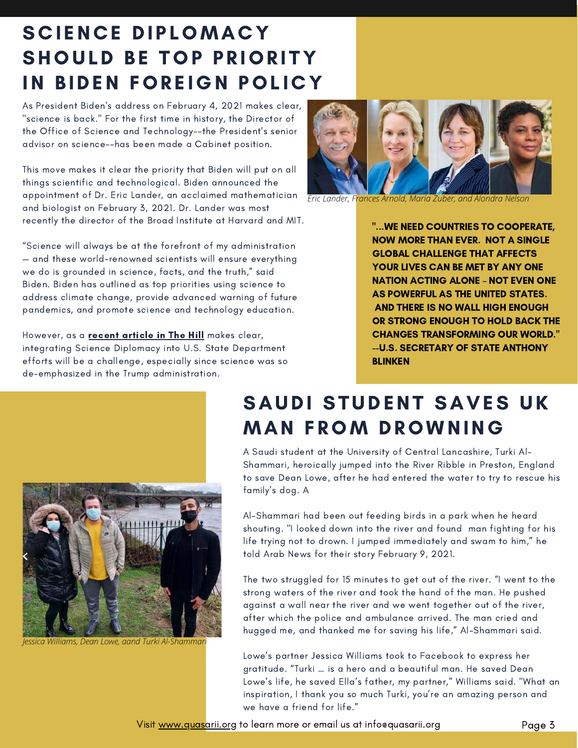## SCIENCE DIPLOMACY SHOULD BE TOP PRIORITY IN BIDEN FOREIGN POLICY

As President Biden's address on February 4, 2021 makes clear, "science is back." For the first time in history, the Director of the Office of Science and Technology--the President's senior advisor on science--has been made a Cabinet position.

This move makes it clear the priority that Biden will put on all things scientific and technological. Biden announced the appointment of Dr. Eric Lander, an acclaimed mathematician and biologist on February 3, 2021. Dr. Lander was most recently the director of the Broad Institute at Harvard and MIT.

"Science will always be at the forefront of my administration — and these world-renowned scientists will ensure everything we do is grounded in science, facts, and the truth," said Biden. Biden has outlined as top priorities using science to address climate change, provide advanced warning of future pandemics, and promote science and technology education.

However, as a **recent article in The Hill** makes clear, integrating Science Diplomacy into U.S. State Department efforts will be a challenge, especially since science was so de-emphasized in the Trump administration.



*Eric Lander, Frances Arnold, Maria Zuber, and Alondra Nelson*

"...WE NEED COUNTRIES TO COOPERATE, NOW MORE THAN EVER. NOT A SINGLE GLOBAL CHALLENGE THAT AFFECTS YOUR LIVES CAN BE MET BY ANY ONE NATION ACTING ALONE – NOT EVEN ONE AS POWERFUL AS THE UNITED STATES. AND THERE IS NO WALL HIGH ENOUGH OR STRONG ENOUGH TO HOLD BACK THE CHANGES TRANSFORMING OUR WORLD." --U.S. SECRETARY OF STATE ANTHONY BLINKEN



*Jessica Williams, Dean Lowe, aand Turki Al-Shammari*

## SAUDI STUDENT SAVES UK **MAN FROM DROWNING**

 $\mathcal{A}$ A Saudi student at the University of Central Lancashire, Turki Al-Shammari, heroically jumped into the River Ribble in Preston, England to save Dean Lowe, after he had entered the water to try to rescue his family's dog. A

design, creating content for your employees will be as easy as ever. Make sure you use the Al-Shammari had been out feeding birds in a park when he heard shouting. "I looked down into the river and found man fighting for his<br>... life trying not to drown. I jumped immediately and swam to him," he told Arab News for their story February 9, 2021.

The two struggled for 15 minutes to get out of the river. "I went to the strong waters of the river and took the hand of the man. He pushed against a wall near the river and we went together out of the river, after which the police and ambulance arrived. The man cried and hugged me, and thanked me for saving his life," Al-Shammari said.

Lowe's partner Jessica Williams took to Facebook to express her gratitude. "Turki … is a hero and a beautiful man. He saved Dean Lowe's life, he saved Ella's father, my partner," Williams said. "What an inspiration, I thank you so much Turki, you're an amazing person and we have a friend for life."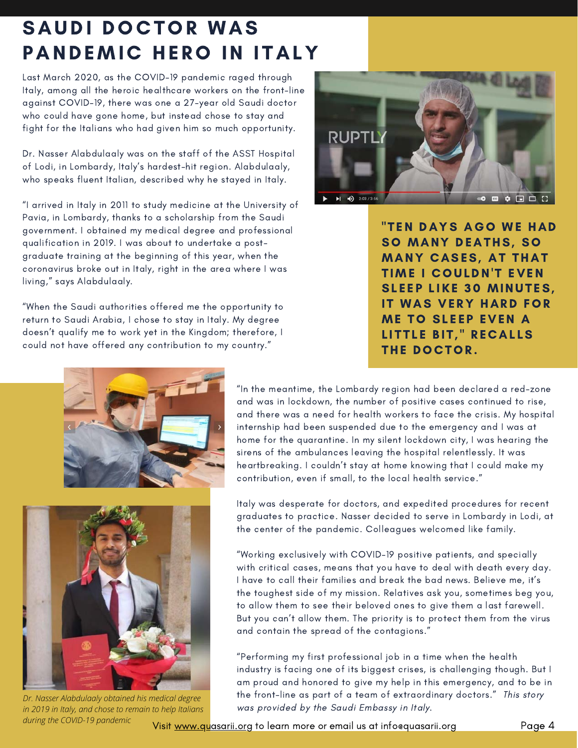## SAUDI DOCTOR WAS PANDEMIC HERO IN ITALY

Last March 2020, as the COVID-19 pandemic raged through Italy, among all the heroic healthcare workers on the front-line against COVID-19, there was one a 27-year old Saudi doctor who could have gone home, but instead chose to stay and fight for the Italians who had given him so much opportunity.

Dr. Nasser Alabdulaaly was on the staff of the ASST Hospital of Lodi, in Lombardy, Italy's hardest-hit region. Alabdulaaly, who speaks fluent Italian, described why he stayed in Italy.

"I arrived in Italy in 2011 to study medicine at the University of Pavia, in Lombardy, thanks to a scholarship from the Saudi government. I obtained my medical degree and professional qualification in 2019. I was about to undertake a postgraduate training at the beginning of this year, when the coronavirus broke out in Italy, right in the area where I was living," says Alabdulaaly.

"When the Saudi authorities offered me the opportunity to return to Saudi Arabia, I chose to stay in Italy. My degree doesn't qualify me to work yet in the Kingdom; therefore, I could not have offered any contribution to my country."



"TEN DAYS AGO WE HAD SO MANY DEATHS, SO SO MANY DEATHS, SO<br>MANY CASES, AT THAT MANY CASES, AT THAT<br>TIME I COULDN'T EVEN TIME I COULDN'T EVEN<br>SLEEP LIKE 30 MINUTES. SLEEP LIKE 30 MINUTES,<br>IT WAS VERY HARD FOR IT WAS VERY HARD FO<br>ME TO SLEEP EVEN A ME TO SLEEP EVEN A<br>LITTLE BIT," RECALLS LITTLE BIT," RE<br>THE DOCTOR.





*Dr. Nasser Alabdulaaly obtained his medical degree in 2019 in Italy, and chose to remain to help Italians during the COVID-19 pandemic*

"In the meantime, the Lombardy region had been declared a red-zone and was in lockdown, the number of positive cases continued to rise, and there was a need for health workers to face the crisis. My hospital internship had been suspended due to the emergency and I was at home for the quarantine. In my silent lockdown city, I was hearing the sirens of the ambulances leaving the hospital relentlessly. It was heartbreaking. I couldn't stay at home knowing that I could make my contribution, even if small, to the local health service."

Italy was desperate for doctors, and expedited procedures for recent graduates to practice. Nasser decided to serve in Lombardy in Lodi, at the center of the pandemic. Colleagues welcomed like family.<br>.

"Working exclusively with COVID-19 positive patients, and specially with critical cases, means that you have to deal with death every day. I have to call their families and break the bad news. Believe me, it's the toughest side of my mission. Relatives ask you, sometimes beg you, to allow them to see their beloved ones to give them a last farewell. But you can't allow them. The priority is to protect them from the virus and contain the spread of the contagions."

"Performing my first professional job in a time when the health industry is facing one of its biggest crises, is challenging though. But I am proud and honored to give my help in this emergency, and to be in the front-line as part of a team of extraordinary doctors." This story was provided by the Saudi Embassy in Italy.